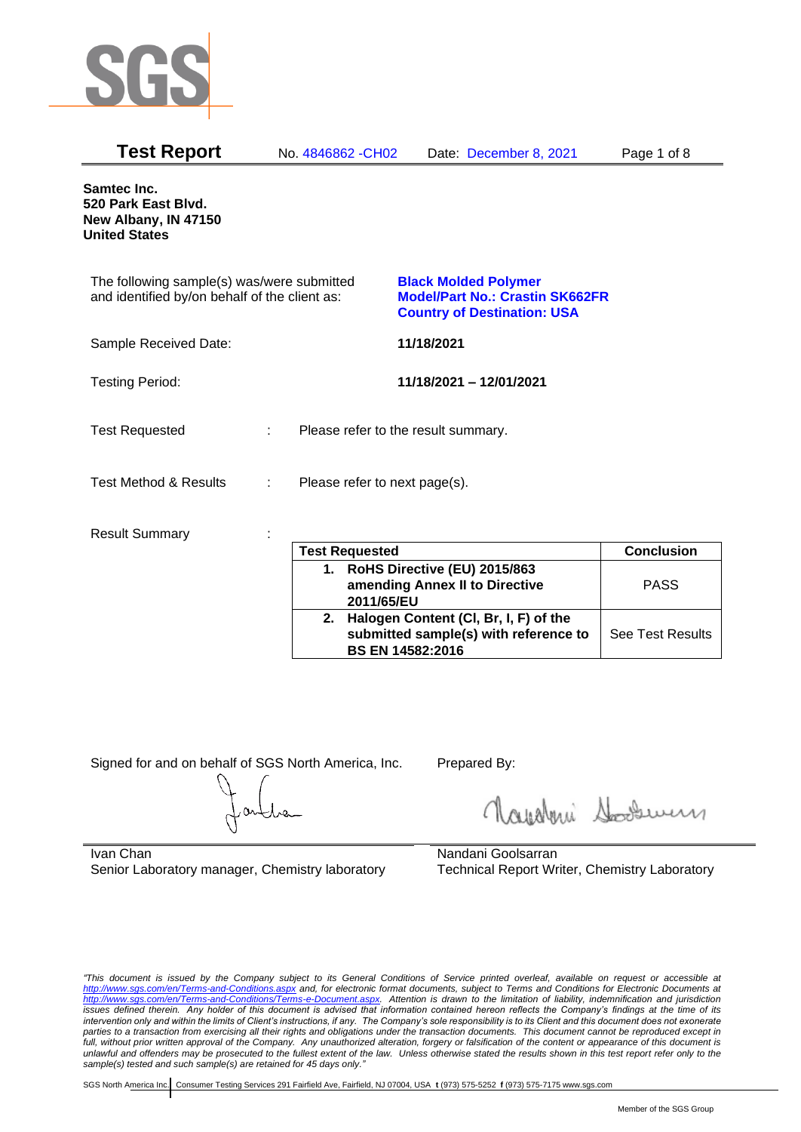

| <b>Test Report</b>                                                                          | No. 4846862 - CH02            | Date: December 8, 2021                                                                                      | Page 1 of 8 |
|---------------------------------------------------------------------------------------------|-------------------------------|-------------------------------------------------------------------------------------------------------------|-------------|
| <b>Samtec Inc.</b><br>520 Park East Blvd.<br>New Albany, IN 47150<br><b>United States</b>   |                               |                                                                                                             |             |
| The following sample(s) was/were submitted<br>and identified by/on behalf of the client as: |                               | <b>Black Molded Polymer</b><br><b>Model/Part No.: Crastin SK662FR</b><br><b>Country of Destination: USA</b> |             |
| Sample Received Date:                                                                       |                               | 11/18/2021                                                                                                  |             |
| <b>Testing Period:</b>                                                                      |                               | 11/18/2021 - 12/01/2021                                                                                     |             |
| <b>Test Requested</b>                                                                       |                               | Please refer to the result summary.                                                                         |             |
| <b>Test Method &amp; Results</b>                                                            | Please refer to next page(s). |                                                                                                             |             |
| <b>Result Summary</b>                                                                       |                               |                                                                                                             |             |

| <b>Test Requested</b>                                                                                        | <b>Conclusion</b>       |
|--------------------------------------------------------------------------------------------------------------|-------------------------|
| 1. RoHS Directive (EU) 2015/863<br>amending Annex II to Directive<br>2011/65/EU                              | <b>PASS</b>             |
| 2. Halogen Content (CI, Br, I, F) of the<br>submitted sample(s) with reference to<br><b>BS EN 14582:2016</b> | <b>See Test Results</b> |

Signed for and on behalf of SGS North America, Inc. Prepared By:

Roughan Souri

Ivan Chan Senior Laboratory manager, Chemistry laboratory

Nandani Goolsarran Technical Report Writer, Chemistry Laboratory

*"This document is issued by the Company subject to its General Conditions of Service printed overleaf, available on request or accessible at <http://www.sgs.com/en/Terms-and-Conditions.aspx> and, for electronic format documents, subject to Terms and Conditions for Electronic Documents at [http://www.sgs.com/en/Terms-and-Conditions/Terms-e-Document.aspx.](http://www.sgs.com/en/Terms-and-Conditions/Terms-e-Document.aspx) Attention is drawn to the limitation of liability, indemnification and jurisdiction issues defined therein. Any holder of this document is advised that information contained hereon reflects the Company's findings at the time of its intervention only and within the limits of Client's instructions, if any. The Company's sole responsibility is to its Client and this document does not exonerate parties to a transaction from exercising all their rights and obligations under the transaction documents. This document cannot be reproduced except in full, without prior written approval of the Company. Any unauthorized alteration, forgery or falsification of the content or appearance of this document is unlawful and offenders may be prosecuted to the fullest extent of the law. Unless otherwise stated the results shown in this test report refer only to the sample(s) tested and such sample(s) are retained for 45 days only."*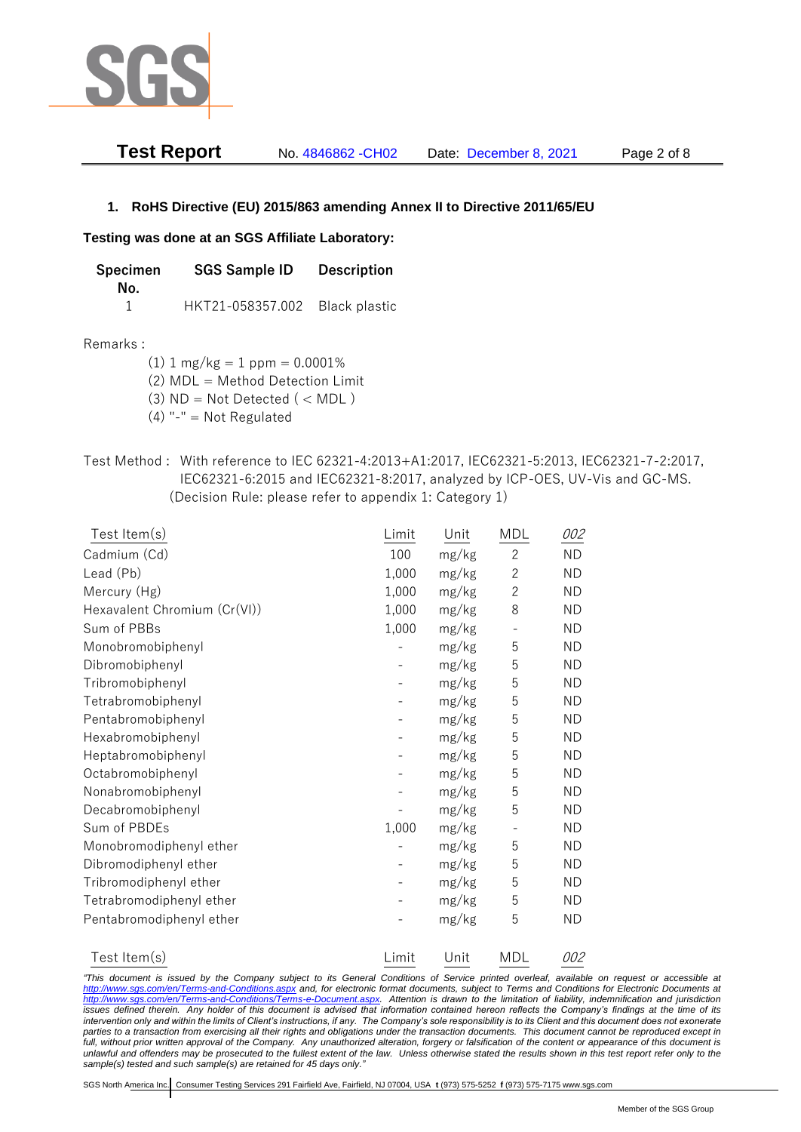

**Test Report** No. 4846862 -CH02 Date: December 8, 2021 Page 2 of 8

# **1. RoHS Directive (EU) 2015/863 amending Annex II to Directive 2011/65/EU**

# **Testing was done at an SGS Affiliate Laboratory:**

**Specimen SGS Sample ID Description No.** 1 HKT21-058357.002 Black plastic

## Remarks :

 $(1)$  1 mg/kg = 1 ppm = 0.0001%

(2) MDL = Method Detection Limit

(3)  $ND = Not detected$  ( < MDL)

- (4) "-" = Not Regulated
- Test Method : With reference to IEC 62321-4:2013+A1:2017, IEC62321-5:2013, IEC62321-7-2:2017, IEC62321-6:2015 and IEC62321-8:2017, analyzed by ICP-OES, UV-Vis and GC-MS. (Decision Rule: please refer to appendix 1: Category 1)

| Test Item(s)                 | Limit | Unit  | <b>MDL</b>               | 002       |
|------------------------------|-------|-------|--------------------------|-----------|
| Cadmium (Cd)                 | 100   | mg/kg | $\overline{2}$           | <b>ND</b> |
| Lead (Pb)                    | 1,000 | mg/kg | $\overline{c}$           | <b>ND</b> |
| Mercury (Hg)                 | 1,000 | mg/kg | $\overline{c}$           | <b>ND</b> |
| Hexavalent Chromium (Cr(VI)) | 1,000 | mg/kg | 8                        | <b>ND</b> |
| Sum of PBBs                  | 1,000 | mg/kg | $\overline{\phantom{0}}$ | <b>ND</b> |
| Monobromobiphenyl            |       | mg/kg | 5                        | <b>ND</b> |
| Dibromobiphenyl              |       | mg/kg | 5                        | <b>ND</b> |
| Tribromobiphenyl             |       | mg/kg | 5                        | <b>ND</b> |
| Tetrabromobiphenyl           |       | mg/kg | 5                        | <b>ND</b> |
| Pentabromobiphenyl           |       | mg/kg | 5                        | ND.       |
| Hexabromobiphenyl            |       | mg/kg | 5                        | <b>ND</b> |
| Heptabromobiphenyl           |       | mg/kg | 5                        | <b>ND</b> |
| Octabromobiphenyl            |       | mg/kg | 5                        | <b>ND</b> |
| Nonabromobiphenyl            |       | mg/kg | 5                        | <b>ND</b> |
| Decabromobiphenyl            |       | mg/kg | 5                        | <b>ND</b> |
| Sum of PBDEs                 | 1,000 | mg/kg | $\overline{\phantom{0}}$ | <b>ND</b> |
| Monobromodiphenyl ether      |       | mg/kg | 5                        | <b>ND</b> |
| Dibromodiphenyl ether        |       | mg/kg | 5                        | <b>ND</b> |
| Tribromodiphenyl ether       |       | mg/kg | 5                        | <b>ND</b> |
| Tetrabromodiphenyl ether     |       | mg/kg | 5                        | <b>ND</b> |
| Pentabromodiphenyl ether     |       | mg/kg | 5                        | <b>ND</b> |
| Test Item(s)                 | Limit | Unit  | <b>MDL</b>               | 002       |

*"This document is issued by the Company subject to its General Conditions of Service printed overleaf, available on request or accessible at <http://www.sgs.com/en/Terms-and-Conditions.aspx> and, for electronic format documents, subject to Terms and Conditions for Electronic Documents at [http://www.sgs.com/en/Terms-and-Conditions/Terms-e-Document.aspx.](http://www.sgs.com/en/Terms-and-Conditions/Terms-e-Document.aspx) Attention is drawn to the limitation of liability, indemnification and jurisdiction issues defined therein. Any holder of this document is advised that information contained hereon reflects the Company's findings at the time of its intervention only and within the limits of Client's instructions, if any. The Company's sole responsibility is to its Client and this document does not exonerate*  parties to a transaction from exercising all their rights and obligations under the transaction documents. This document cannot be reproduced except in *full, without prior written approval of the Company. Any unauthorized alteration, forgery or falsification of the content or appearance of this document is unlawful and offenders may be prosecuted to the fullest extent of the law. Unless otherwise stated the results shown in this test report refer only to the sample(s) tested and such sample(s) are retained for 45 days only."*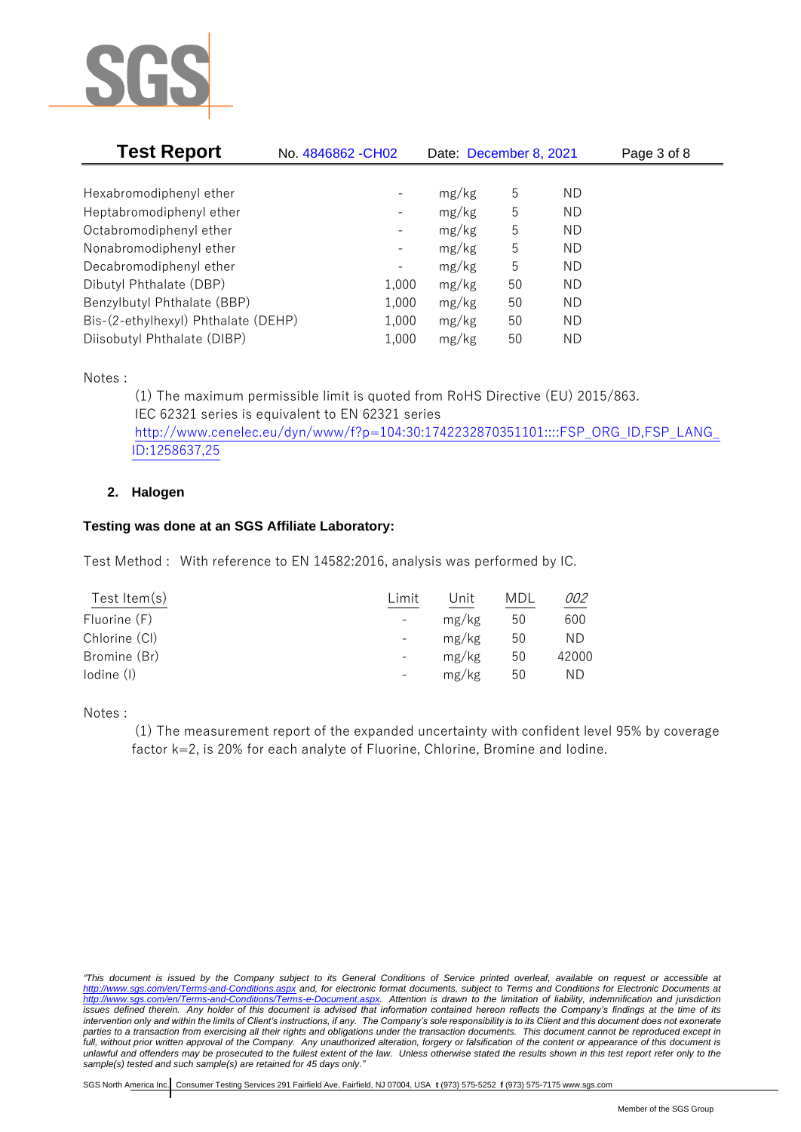

| <b>Test Report</b>                  | No. 4846862 - CH02       | Date: December 8, 2021 |    | Page 3 of 8 |  |
|-------------------------------------|--------------------------|------------------------|----|-------------|--|
|                                     |                          |                        |    |             |  |
| Hexabromodiphenyl ether             |                          | mg/kg                  | 5  | ΝD          |  |
| Heptabromodiphenyl ether            |                          | mg/kg                  | 5  | ΝD          |  |
| Octabromodiphenyl ether             | -                        | mg/kg                  | 5  | ΝD          |  |
| Nonabromodiphenyl ether             | $\overline{\phantom{a}}$ | mg/kg                  | 5  | ΝD          |  |
| Decabromodiphenyl ether             |                          | mg/kg                  | 5  | ΝD          |  |
| Dibutyl Phthalate (DBP)             | 1,000                    | mg/kg                  | 50 | ΝD          |  |
| Benzylbutyl Phthalate (BBP)         | 1,000                    | mg/kg                  | 50 | ΝD          |  |
| Bis-(2-ethylhexyl) Phthalate (DEHP) | 1,000                    | mg/kg                  | 50 | <b>ND</b>   |  |
| Diisobutyl Phthalate (DIBP)         | 1,000                    | mg/kg                  | 50 | ΝD          |  |

Notes :

(1) The maximum permissible limit is quoted from RoHS Directive (EU) 2015/863. IEC 62321 series is equivalent to EN 62321 series [http://www.cenelec.eu/dyn/www/f?p=104:30:1742232870351101::::FSP\\_ORG\\_ID,FSP\\_LANG\\_](http://www.cenelec.eu/dyn/www/f?p=104:30:1742232870351101::::FSP_ORG_ID,FSP_LANG_ID:1258637,25) [ID:1258637,25](http://www.cenelec.eu/dyn/www/f?p=104:30:1742232870351101::::FSP_ORG_ID,FSP_LANG_ID:1258637,25)

# **2. Halogen**

# **Testing was done at an SGS Affiliate Laboratory:**

Test Method : With reference to EN 14582:2016, analysis was performed by IC.

| Limit | Unit  | MDL | 002   |
|-------|-------|-----|-------|
|       | mg/kg | 50  | 600   |
|       | mg/kg | 50  | ΝD    |
|       | mg/kg | 50  | 42000 |
|       | mg/kg | 50  | ΝD    |
|       |       |     |       |

Notes :

(1) The measurement report of the expanded uncertainty with confident level 95% by coverage factor k=2, is 20% for each analyte of Fluorine, Chlorine, Bromine and Iodine.

*<sup>&</sup>quot;This document is issued by the Company subject to its General Conditions of Service printed overleaf, available on request or accessible at <http://www.sgs.com/en/Terms-and-Conditions.aspx> and, for electronic format documents, subject to Terms and Conditions for Electronic Documents at [http://www.sgs.com/en/Terms-and-Conditions/Terms-e-Document.aspx.](http://www.sgs.com/en/Terms-and-Conditions/Terms-e-Document.aspx) Attention is drawn to the limitation of liability, indemnification and jurisdiction issues defined therein. Any holder of this document is advised that information contained hereon reflects the Company's findings at the time of its intervention only and within the limits of Client's instructions, if any. The Company's sole responsibility is to its Client and this document does not exonerate*  parties to a transaction from exercising all their rights and obligations under the transaction documents. This document cannot be reproduced except in *full, without prior written approval of the Company. Any unauthorized alteration, forgery or falsification of the content or appearance of this document is unlawful and offenders may be prosecuted to the fullest extent of the law. Unless otherwise stated the results shown in this test report refer only to the sample(s) tested and such sample(s) are retained for 45 days only."*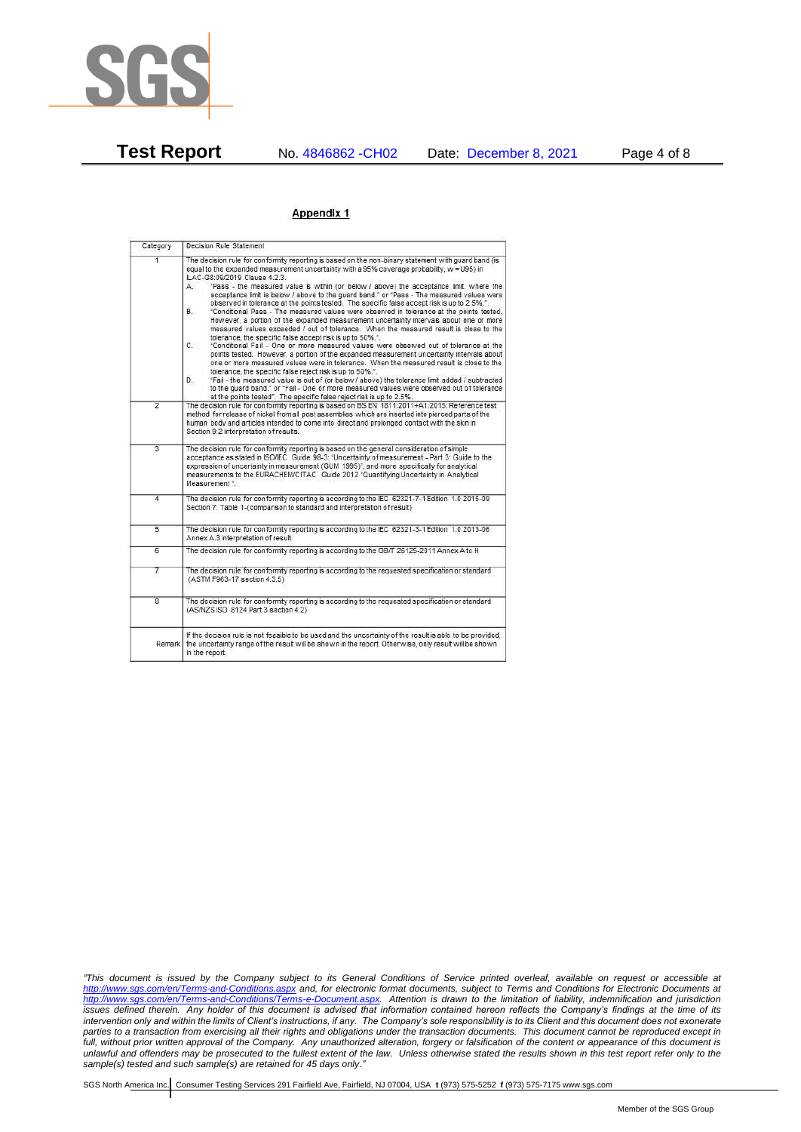

**Test Report** No. 4846862 -CH02 Date: December 8, 2021 Page 4 of 8

## Appendix 1

| Category       | Decision Rule Statement                                                                                                                                                                                                                                                                                                                                                                                                                                                                                                                                                                                                                                                                                                                                                                                                                                                                                                                                                                                                                                                                                                                                                                                                                                                                                                                                                                                                                   |  |  |  |
|----------------|-------------------------------------------------------------------------------------------------------------------------------------------------------------------------------------------------------------------------------------------------------------------------------------------------------------------------------------------------------------------------------------------------------------------------------------------------------------------------------------------------------------------------------------------------------------------------------------------------------------------------------------------------------------------------------------------------------------------------------------------------------------------------------------------------------------------------------------------------------------------------------------------------------------------------------------------------------------------------------------------------------------------------------------------------------------------------------------------------------------------------------------------------------------------------------------------------------------------------------------------------------------------------------------------------------------------------------------------------------------------------------------------------------------------------------------------|--|--|--|
| $\overline{1}$ | The decision rule for conformity reporting is based on the non-binary statement with quard band (is<br>equal to the expanded measurement uncertainty with a 95% coverage probability, w = U95) in<br>ILAC-G8:09/2019 Clause 4.2.3.<br>"Pass - the measured value is within (or below / above) the acceptance limit, where the<br>А.<br>acceptance limit is below / above to the quard band." or "Pass - The measured values were<br>observed in tolerance at the points tested. The specific false accept risk is up to 2.5%.".<br>B.<br>"Conditional Pass - The measured values were observed in tolerance at the points tested.<br>However, a portion of the expanded measurement uncertainty intervals about one or more<br>measured values exceeded / out of tolerance. When the measured result is close to the<br>tolerance, the specific false accept risk is up to 50%."<br>C.<br>"Conditional Fail - One or more measured values were observed out of tolerance at the<br>points tested. However, a portion of the expanded measurement uncertainty intervals about<br>one or more measured values were in tolerance. When the measured result is close to the<br>tolerance, the specific false reject risk is up to 50%.".<br>"Fail - the measured value is out of (or below / above) the tolerance limit added / subtracted<br>D.<br>to the quard band." or "Fail - One or more measured values were observed out of tolerance |  |  |  |
| $\overline{2}$ | at the points tested". The specific false reject risk is up to 2.5%.<br>The decision rule for conformity reporting is based on BS EN 1811:2011+A1:2015: Reference test<br>method for release of nickel from all post assemblies which are inserted into pierced parts of the<br>human body and articles intended to come into direct and prolonged contact with the skin in<br>Section 9.2 interpretation of results.                                                                                                                                                                                                                                                                                                                                                                                                                                                                                                                                                                                                                                                                                                                                                                                                                                                                                                                                                                                                                     |  |  |  |
| $\overline{3}$ | The decision rule for conformity reporting is based on the general consideration of simple<br>acceptance as stated in ISO/IEC Guide 98-3: "Uncertainty of measurement - Part 3: Guide to the<br>expression of uncertainty in measurement (GUM 1995)", and more specifically for analytical<br>measurements to the EURACHEM/CITAC Guide 2012 "Quantifying Uncertainty in Analytical<br>Measurement *                                                                                                                                                                                                                                                                                                                                                                                                                                                                                                                                                                                                                                                                                                                                                                                                                                                                                                                                                                                                                                       |  |  |  |
| 4              | The decision rule for conformity reporting is according to the IEC 62321-7-1 Edition 1.0 2015-09<br>Section 7: Table 1-(comparison to standard and interpretation of result)                                                                                                                                                                                                                                                                                                                                                                                                                                                                                                                                                                                                                                                                                                                                                                                                                                                                                                                                                                                                                                                                                                                                                                                                                                                              |  |  |  |
| $\overline{5}$ | The decision rule for conformity reporting is according to the IEC 62321-3-1 Edition 1.0 2013-06<br>Annex A.3 interpretation of result.                                                                                                                                                                                                                                                                                                                                                                                                                                                                                                                                                                                                                                                                                                                                                                                                                                                                                                                                                                                                                                                                                                                                                                                                                                                                                                   |  |  |  |
| 6              | The decision rule for conformity reporting is according to the GB/T 26125-2011 Annex A to H                                                                                                                                                                                                                                                                                                                                                                                                                                                                                                                                                                                                                                                                                                                                                                                                                                                                                                                                                                                                                                                                                                                                                                                                                                                                                                                                               |  |  |  |
| 7              | The decision rule for conformity reporting is according to the requested specification or standard<br>(ASTM F963-17 section 4.3.5)                                                                                                                                                                                                                                                                                                                                                                                                                                                                                                                                                                                                                                                                                                                                                                                                                                                                                                                                                                                                                                                                                                                                                                                                                                                                                                        |  |  |  |
| $\overline{8}$ | The decision rule for conformity reporting is according to the requested specification or standard<br>(AS/NZS ISO 8124 Part 3 section 4.2)                                                                                                                                                                                                                                                                                                                                                                                                                                                                                                                                                                                                                                                                                                                                                                                                                                                                                                                                                                                                                                                                                                                                                                                                                                                                                                |  |  |  |
|                | If the decision rule is not feasible to be used and the uncertainty of the result is able to be provided,<br>Remark the uncertainty range of the result will be shown in the report. Otherwise, only result will be shown<br>in the report.                                                                                                                                                                                                                                                                                                                                                                                                                                                                                                                                                                                                                                                                                                                                                                                                                                                                                                                                                                                                                                                                                                                                                                                               |  |  |  |

*"This document is issued by the Company subject to its General Conditions of Service printed overleaf, available on request or accessible at <http://www.sgs.com/en/Terms-and-Conditions.aspx> and, for electronic format documents, subject to Terms and Conditions for Electronic Documents at [http://www.sgs.com/en/Terms-and-Conditions/Terms-e-Document.aspx.](http://www.sgs.com/en/Terms-and-Conditions/Terms-e-Document.aspx) Attention is drawn to the limitation of liability, indemnification and jurisdiction issues defined therein. Any holder of this document is advised that information contained hereon reflects the Company's findings at the time of its intervention only and within the limits of Client's instructions, if any. The Company's sole responsibility is to its Client and this document does not exonerate parties to a transaction from exercising all their rights and obligations under the transaction documents. This document cannot be reproduced except in full, without prior written approval of the Company. Any unauthorized alteration, forgery or falsification of the content or appearance of this document is unlawful and offenders may be prosecuted to the fullest extent of the law. Unless otherwise stated the results shown in this test report refer only to the sample(s) tested and such sample(s) are retained for 45 days only."*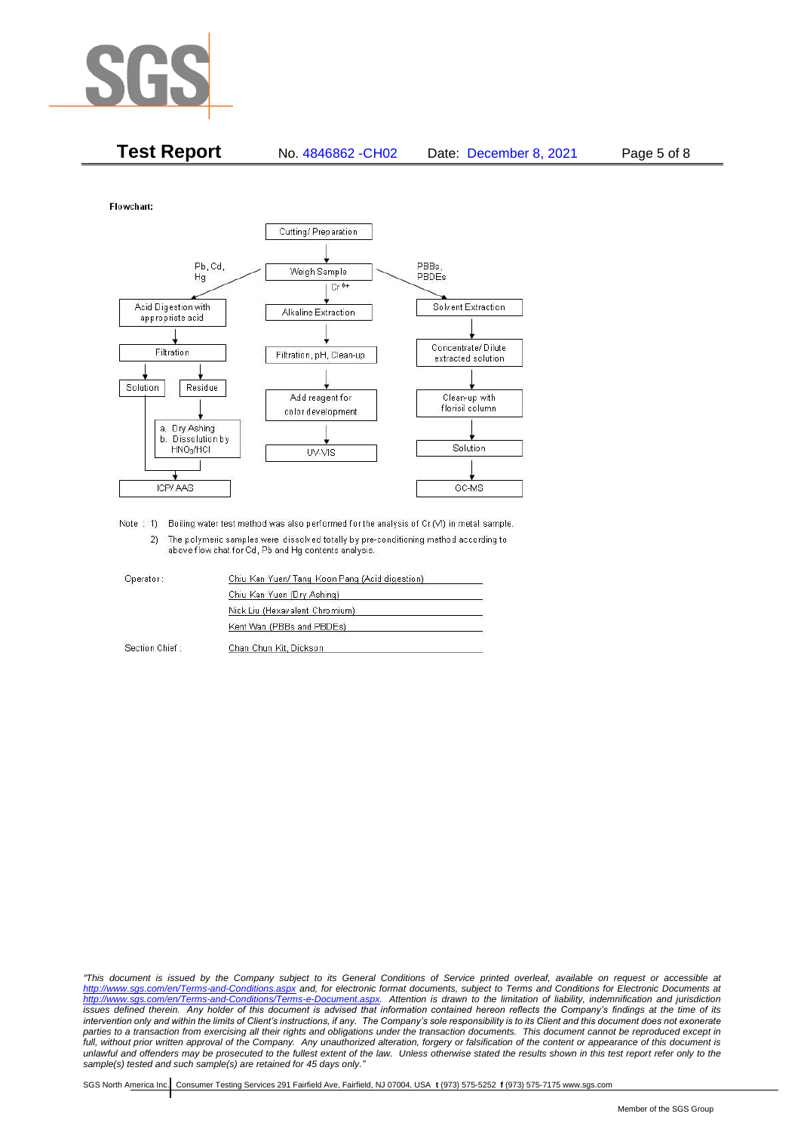

| <b>Test Report</b> | No. 4846862 - CH02 | Date: December 8, 2021 | Page 5 of 8 |
|--------------------|--------------------|------------------------|-------------|
|                    |                    |                        |             |

Flowchart:



Note : 1) Boiling water test method was also performed for the analysis of Cr (VI) in metal sample. 2) The polymeric samples were dissolved totally by pre-conditioning method according to above flow chat for Cd, Pb and Hg contents analysis

| Operator:      | Chiu Kan Yuen/ Tang Koon Pang (Acid digestion) |  |  |
|----------------|------------------------------------------------|--|--|
|                | Chiu Kan Yuen (Dry Ashing)                     |  |  |
|                | Nick Liu (Hexavalent Chromium)                 |  |  |
|                | Kent Wan (PBBs and PBDEs)                      |  |  |
| Section Chief: | Chan Chun Kit, Dickson                         |  |  |

*"This document is issued by the Company subject to its General Conditions of Service printed overleaf, available on request or accessible at <http://www.sgs.com/en/Terms-and-Conditions.aspx> and, for electronic format documents, subject to Terms and Conditions for Electronic Documents at [http://www.sgs.com/en/Terms-and-Conditions/Terms-e-Document.aspx.](http://www.sgs.com/en/Terms-and-Conditions/Terms-e-Document.aspx) Attention is drawn to the limitation of liability, indemnification and jurisdiction issues defined therein. Any holder of this document is advised that information contained hereon reflects the Company's findings at the time of its intervention only and within the limits of Client's instructions, if any. The Company's sole responsibility is to its Client and this document does not exonerate*  parties to a transaction from exercising all their rights and obligations under the transaction documents. This document cannot be reproduced except in *full, without prior written approval of the Company. Any unauthorized alteration, forgery or falsification of the content or appearance of this document is unlawful and offenders may be prosecuted to the fullest extent of the law. Unless otherwise stated the results shown in this test report refer only to the sample(s) tested and such sample(s) are retained for 45 days only."*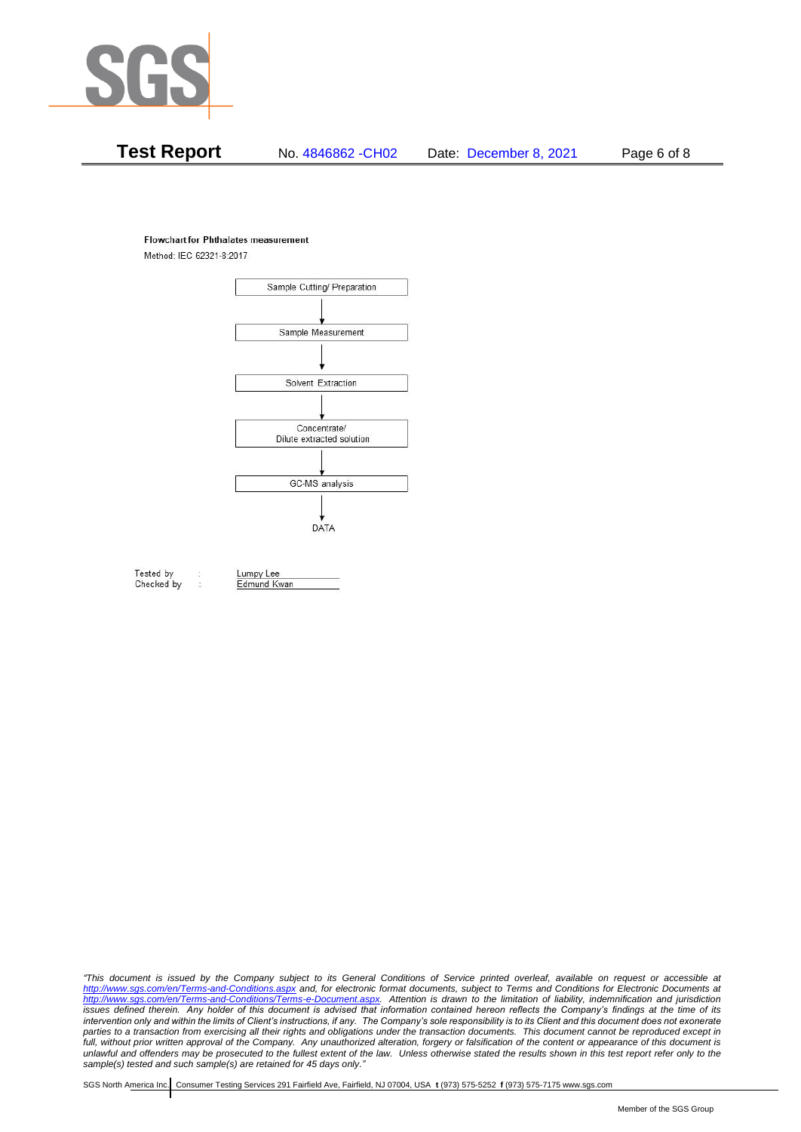

# **Test Report** No. 4846862 -CH02 Date: December 8, 2021 Page 6 of 8

### **Flowchart for Phthalates measurement**

Method: IEC 62321-8:2017



Tested by Checked by Lumpy Lee Edmund Kwan

*"This document is issued by the Company subject to its General Conditions of Service printed overleaf, available on request or accessible at <http://www.sgs.com/en/Terms-and-Conditions.aspx> and, for electronic format documents, subject to Terms and Conditions for Electronic Documents at [http://www.sgs.com/en/Terms-and-Conditions/Terms-e-Document.aspx.](http://www.sgs.com/en/Terms-and-Conditions/Terms-e-Document.aspx) Attention is drawn to the limitation of liability, indemnification and jurisdiction issues defined therein. Any holder of this document is advised that information contained hereon reflects the Company's findings at the time of its intervention only and within the limits of Client's instructions, if any. The Company's sole responsibility is to its Client and this document does not exonerate*  parties to a transaction from exercising all their rights and obligations under the transaction documents. This document cannot be reproduced except in *full, without prior written approval of the Company. Any unauthorized alteration, forgery or falsification of the content or appearance of this document is unlawful and offenders may be prosecuted to the fullest extent of the law. Unless otherwise stated the results shown in this test report refer only to the sample(s) tested and such sample(s) are retained for 45 days only."*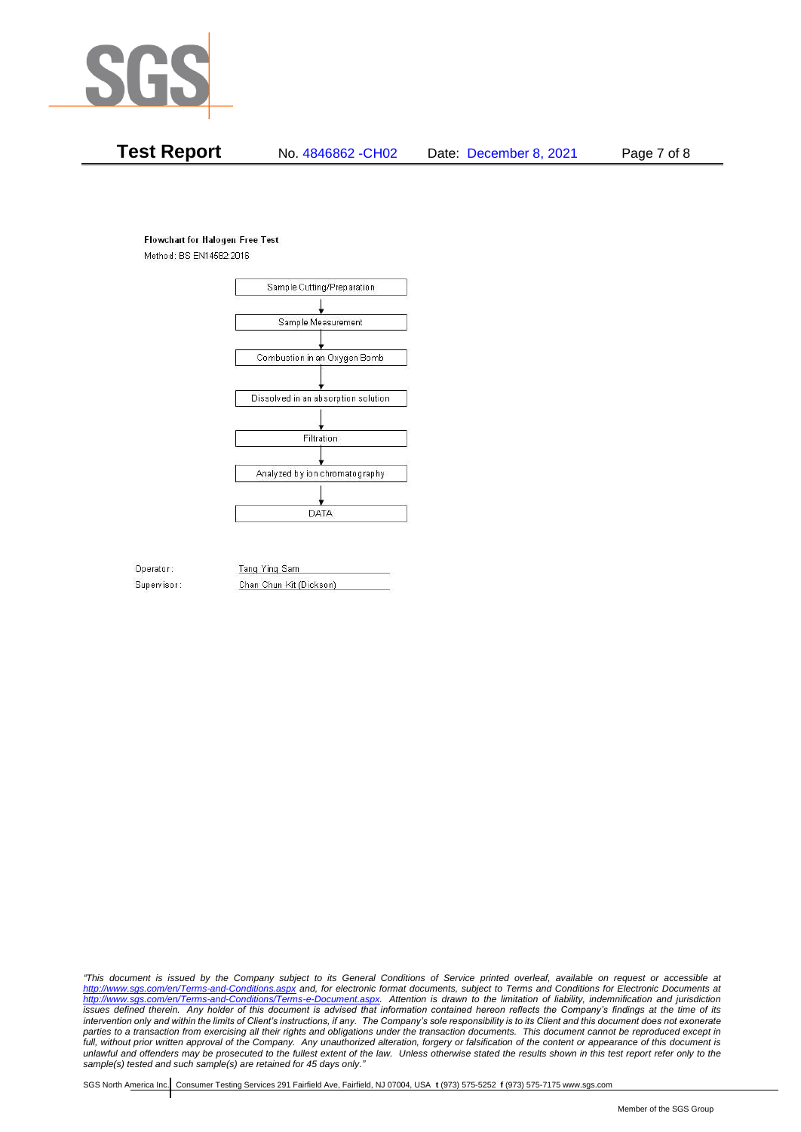

# **Test Report** No. 4846862 -CH02 Date: December 8, 2021 Page 7 of 8

### **Flowchart for Halogen Free Test**

Method: BS EN14582:2016



Operator: Supervisor: Tang Ying Sam Chan Chun Kit (Dickson)

*"This document is issued by the Company subject to its General Conditions of Service printed overleaf, available on request or accessible at <http://www.sgs.com/en/Terms-and-Conditions.aspx> and, for electronic format documents, subject to Terms and Conditions for Electronic Documents at [http://www.sgs.com/en/Terms-and-Conditions/Terms-e-Document.aspx.](http://www.sgs.com/en/Terms-and-Conditions/Terms-e-Document.aspx) Attention is drawn to the limitation of liability, indemnification and jurisdiction issues defined therein. Any holder of this document is advised that information contained hereon reflects the Company's findings at the time of its intervention only and within the limits of Client's instructions, if any. The Company's sole responsibility is to its Client and this document does not exonerate*  parties to a transaction from exercising all their rights and obligations under the transaction documents. This document cannot be reproduced except in *full, without prior written approval of the Company. Any unauthorized alteration, forgery or falsification of the content or appearance of this document is unlawful and offenders may be prosecuted to the fullest extent of the law. Unless otherwise stated the results shown in this test report refer only to the sample(s) tested and such sample(s) are retained for 45 days only."*